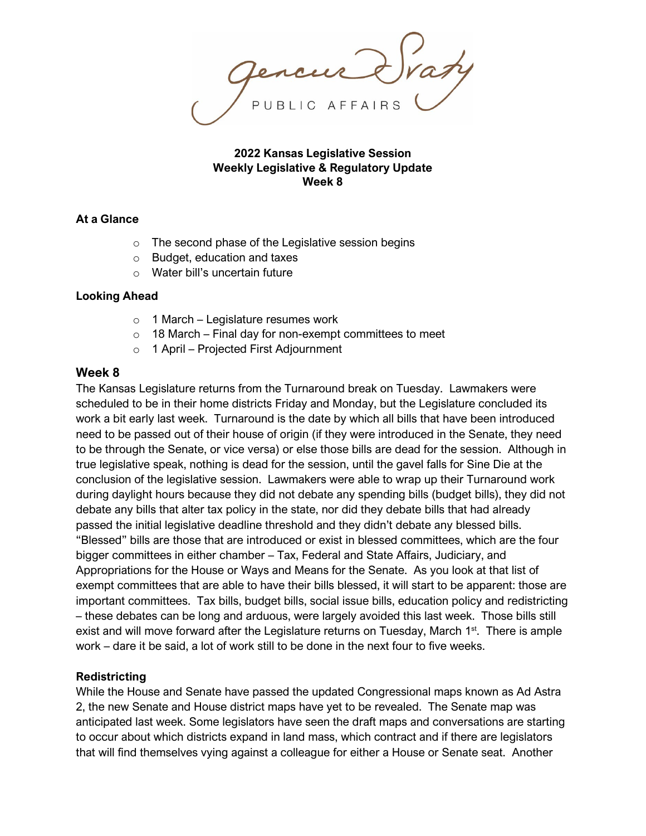AFFAIRS

**2022 Kansas Legislative Session Weekly Legislative & Regulatory Update Week 8**

#### **At a Glance**

- o The second phase of the Legislative session begins
- o Budget, education and taxes
- o Water bill's uncertain future

#### **Looking Ahead**

- $\circ$  1 March Legislature resumes work
- $\circ$  18 March Final day for non-exempt committees to meet
- o 1 April Projected First Adjournment

#### **Week 8**

The Kansas Legislature returns from the Turnaround break on Tuesday. Lawmakers were scheduled to be in their home districts Friday and Monday, but the Legislature concluded its work a bit early last week. Turnaround is the date by which all bills that have been introduced need to be passed out of their house of origin (if they were introduced in the Senate, they need to be through the Senate, or vice versa) or else those bills are dead for the session. Although in true legislative speak, nothing is dead for the session, until the gavel falls for Sine Die at the conclusion of the legislative session. Lawmakers were able to wrap up their Turnaround work during daylight hours because they did not debate any spending bills (budget bills), they did not debate any bills that alter tax policy in the state, nor did they debate bills that had already passed the initial legislative deadline threshold and they didn't debate any blessed bills. "Blessed" bills are those that are introduced or exist in blessed committees, which are the four bigger committees in either chamber – Tax, Federal and State Affairs, Judiciary, and Appropriations for the House or Ways and Means for the Senate. As you look at that list of exempt committees that are able to have their bills blessed, it will start to be apparent: those are important committees. Tax bills, budget bills, social issue bills, education policy and redistricting – these debates can be long and arduous, were largely avoided this last week. Those bills still exist and will move forward after the Legislature returns on Tuesday, March  $1<sup>st</sup>$ . There is ample work – dare it be said, a lot of work still to be done in the next four to five weeks.

## **Redistricting**

While the House and Senate have passed the updated Congressional maps known as Ad Astra 2, the new Senate and House district maps have yet to be revealed. The Senate map was anticipated last week. Some legislators have seen the draft maps and conversations are starting to occur about which districts expand in land mass, which contract and if there are legislators that will find themselves vying against a colleague for either a House or Senate seat. Another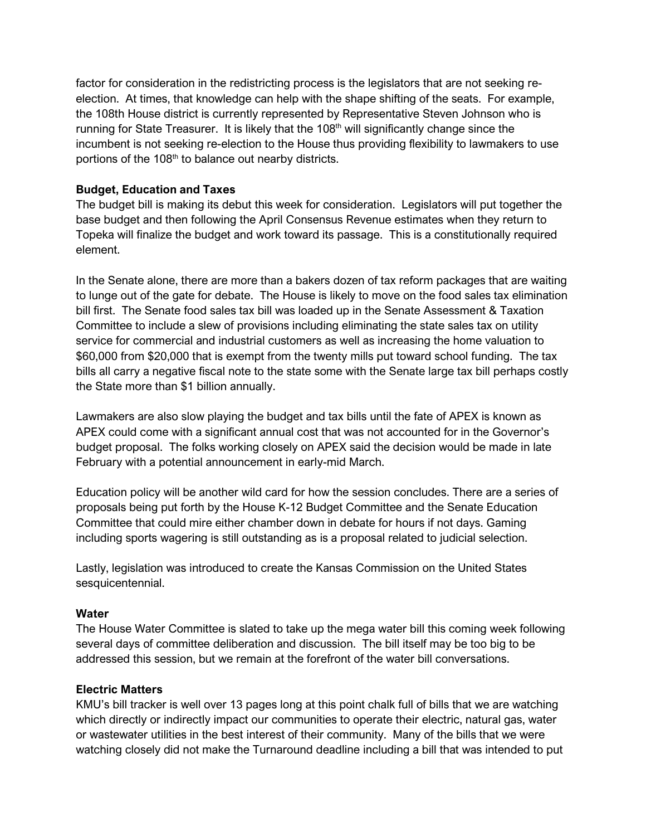factor for consideration in the redistricting process is the legislators that are not seeking reelection. At times, that knowledge can help with the shape shifting of the seats. For example, the 108th House district is currently represented by Representative Steven Johnson who is running for State Treasurer. It is likely that the  $108<sup>th</sup>$  will significantly change since the incumbent is not seeking re-election to the House thus providing flexibility to lawmakers to use portions of the 108<sup>th</sup> to balance out nearby districts.

## **Budget, Education and Taxes**

The budget bill is making its debut this week for consideration. Legislators will put together the base budget and then following the April Consensus Revenue estimates when they return to Topeka will finalize the budget and work toward its passage. This is a constitutionally required element.

In the Senate alone, there are more than a bakers dozen of tax reform packages that are waiting to lunge out of the gate for debate. The House is likely to move on the food sales tax elimination bill first. The Senate food sales tax bill was loaded up in the Senate Assessment & Taxation Committee to include a slew of provisions including eliminating the state sales tax on utility service for commercial and industrial customers as well as increasing the home valuation to \$60,000 from \$20,000 that is exempt from the twenty mills put toward school funding. The tax bills all carry a negative fiscal note to the state some with the Senate large tax bill perhaps costly the State more than \$1 billion annually.

Lawmakers are also slow playing the budget and tax bills until the fate of APEX is known as APEX could come with a significant annual cost that was not accounted for in the Governor's budget proposal. The folks working closely on APEX said the decision would be made in late February with a potential announcement in early-mid March.

Education policy will be another wild card for how the session concludes. There are a series of proposals being put forth by the House K-12 Budget Committee and the Senate Education Committee that could mire either chamber down in debate for hours if not days. Gaming including sports wagering is still outstanding as is a proposal related to judicial selection.

Lastly, legislation was introduced to create the Kansas Commission on the United States sesquicentennial.

## **Water**

The House Water Committee is slated to take up the mega water bill this coming week following several days of committee deliberation and discussion. The bill itself may be too big to be addressed this session, but we remain at the forefront of the water bill conversations.

## **Electric Matters**

KMU's bill tracker is well over 13 pages long at this point chalk full of bills that we are watching which directly or indirectly impact our communities to operate their electric, natural gas, water or wastewater utilities in the best interest of their community. Many of the bills that we were watching closely did not make the Turnaround deadline including a bill that was intended to put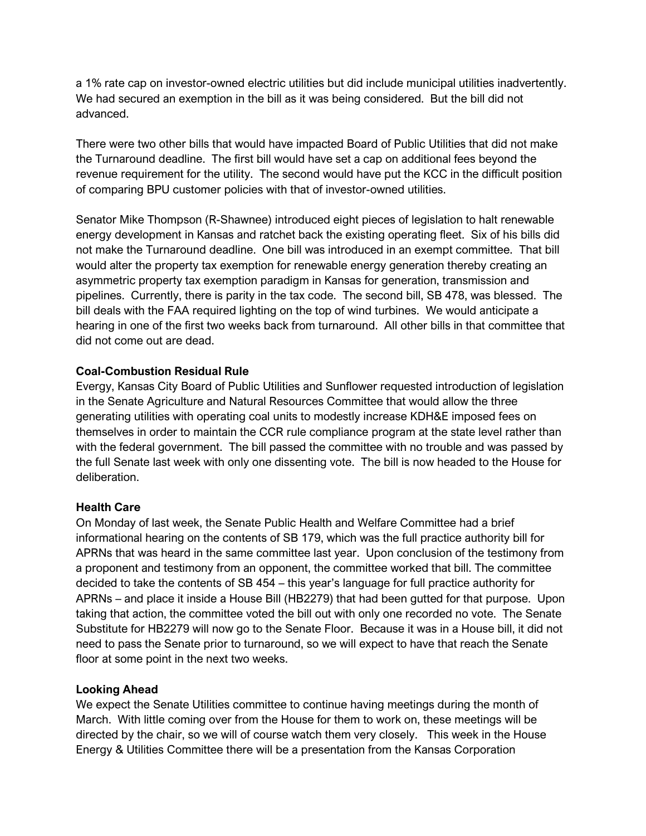a 1% rate cap on investor-owned electric utilities but did include municipal utilities inadvertently. We had secured an exemption in the bill as it was being considered. But the bill did not advanced.

There were two other bills that would have impacted Board of Public Utilities that did not make the Turnaround deadline. The first bill would have set a cap on additional fees beyond the revenue requirement for the utility. The second would have put the KCC in the difficult position of comparing BPU customer policies with that of investor-owned utilities.

Senator Mike Thompson (R-Shawnee) introduced eight pieces of legislation to halt renewable energy development in Kansas and ratchet back the existing operating fleet. Six of his bills did not make the Turnaround deadline. One bill was introduced in an exempt committee. That bill would alter the property tax exemption for renewable energy generation thereby creating an asymmetric property tax exemption paradigm in Kansas for generation, transmission and pipelines. Currently, there is parity in the tax code. The second bill, SB 478, was blessed. The bill deals with the FAA required lighting on the top of wind turbines. We would anticipate a hearing in one of the first two weeks back from turnaround. All other bills in that committee that did not come out are dead.

## **Coal-Combustion Residual Rule**

Evergy, Kansas City Board of Public Utilities and Sunflower requested introduction of legislation in the Senate Agriculture and Natural Resources Committee that would allow the three generating utilities with operating coal units to modestly increase KDH&E imposed fees on themselves in order to maintain the CCR rule compliance program at the state level rather than with the federal government. The bill passed the committee with no trouble and was passed by the full Senate last week with only one dissenting vote. The bill is now headed to the House for deliberation.

## **Health Care**

On Monday of last week, the Senate Public Health and Welfare Committee had a brief informational hearing on the contents of SB 179, which was the full practice authority bill for APRNs that was heard in the same committee last year. Upon conclusion of the testimony from a proponent and testimony from an opponent, the committee worked that bill. The committee decided to take the contents of SB 454 – this year's language for full practice authority for APRNs – and place it inside a House Bill (HB2279) that had been gutted for that purpose. Upon taking that action, the committee voted the bill out with only one recorded no vote. The Senate Substitute for HB2279 will now go to the Senate Floor. Because it was in a House bill, it did not need to pass the Senate prior to turnaround, so we will expect to have that reach the Senate floor at some point in the next two weeks.

# **Looking Ahead**

We expect the Senate Utilities committee to continue having meetings during the month of March. With little coming over from the House for them to work on, these meetings will be directed by the chair, so we will of course watch them very closely. This week in the House Energy & Utilities Committee there will be a presentation from the Kansas Corporation